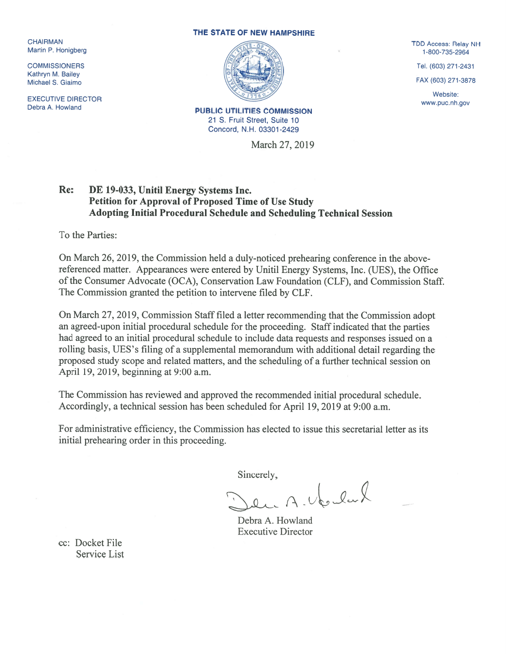Kathryn M. Bailey

EXECUTIVE DIRECTOR EXECUTIVE DIRECTOR<br>Debra A. Howland William Burger Commission PUBLIC UTILITIES COMMISSION

## THE STATE OF NEW HAMPSHIRE



21 S. Fruit Street, Suite 10 Concord, N.H. 03301-2429

March 27, 2019

Website:

## Re: DE 19-033, Unitil Energy Systems Inc. Petition for Approval of Proposed Time of Use Study Adopting Initial Procedural Schedule and Scheduling Technical Session

To the Parties:

On March 26, 2019, the Commission held a duly-noticed prehearing conference in the abovereferenced matter. Appearances were entered by Unitil Energy Systems, Inc. (UES), the Office of the Consumer Advocate (OCA), Conservation Law Foundation (CLF), and Commission Staff. The Commission granted the petition to intervene filed by CLF.

On March 27, 2019, Commission Staff filed a letter recommending that the Commission adopt an agreed-upon initial procedural schedule for the proceeding. Staff indicated that the parties had agreed to an initial procedural schedule to include data requests and responses issued on <sup>a</sup> rolling basis, UES's filing of <sup>a</sup> supplemental memorandum with additional detail regarding the proposed study scope and related matters, and the scheduling of <sup>a</sup> further technical session on April 19, 2019, beginning at 9:00 a.m.

The Commission has reviewed and approved the recommended initial procedural schedule. Accordingly, <sup>a</sup> technical session has been scheduled for April 19, 2019 at 9:00 a.m.

for administrative efficiency, the Commission has elected to issue this secretarial letter as its initial prehearing order in this proceeding.

Sincerely,

 $A.$  Us, lard

Debra A. Howland Executive Director

cc: Docket File Service List